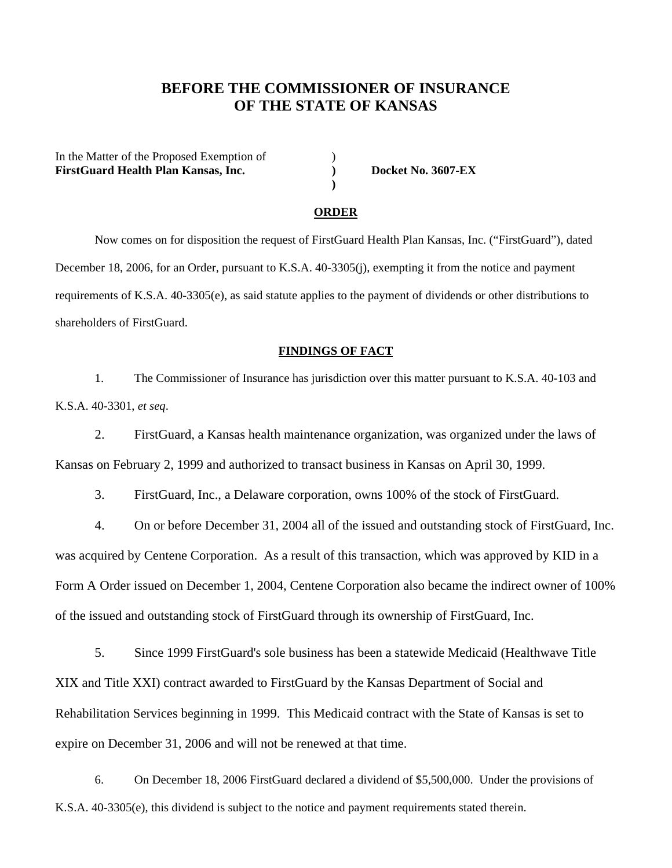## **BEFORE THE COMMISSIONER OF INSURANCE OF THE STATE OF KANSAS**

In the Matter of the Proposed Exemption of  $\qquad \qquad$   $)$ **FirstGuard Health Plan Kansas, Inc. ) Docket No. 3607-EX**

 **)** 

#### **ORDER**

 Now comes on for disposition the request of FirstGuard Health Plan Kansas, Inc. ("FirstGuard"), dated December 18, 2006, for an Order, pursuant to K.S.A. 40-3305(j), exempting it from the notice and payment requirements of K.S.A. 40-3305(e), as said statute applies to the payment of dividends or other distributions to shareholders of FirstGuard.

#### **FINDINGS OF FACT**

 1. The Commissioner of Insurance has jurisdiction over this matter pursuant to K.S.A. 40-103 and K.S.A. 40-3301, *et seq*.

 2. FirstGuard, a Kansas health maintenance organization, was organized under the laws of Kansas on February 2, 1999 and authorized to transact business in Kansas on April 30, 1999.

3. FirstGuard, Inc., a Delaware corporation, owns 100% of the stock of FirstGuard.

4. On or before December 31, 2004 all of the issued and outstanding stock of FirstGuard, Inc. was acquired by Centene Corporation. As a result of this transaction, which was approved by KID in a Form A Order issued on December 1, 2004, Centene Corporation also became the indirect owner of 100% of the issued and outstanding stock of FirstGuard through its ownership of FirstGuard, Inc.

5. Since 1999 FirstGuard's sole business has been a statewide Medicaid (Healthwave Title XIX and Title XXI) contract awarded to FirstGuard by the Kansas Department of Social and Rehabilitation Services beginning in 1999. This Medicaid contract with the State of Kansas is set to expire on December 31, 2006 and will not be renewed at that time.

6. On December 18, 2006 FirstGuard declared a dividend of \$5,500,000. Under the provisions of K.S.A. 40-3305(e), this dividend is subject to the notice and payment requirements stated therein.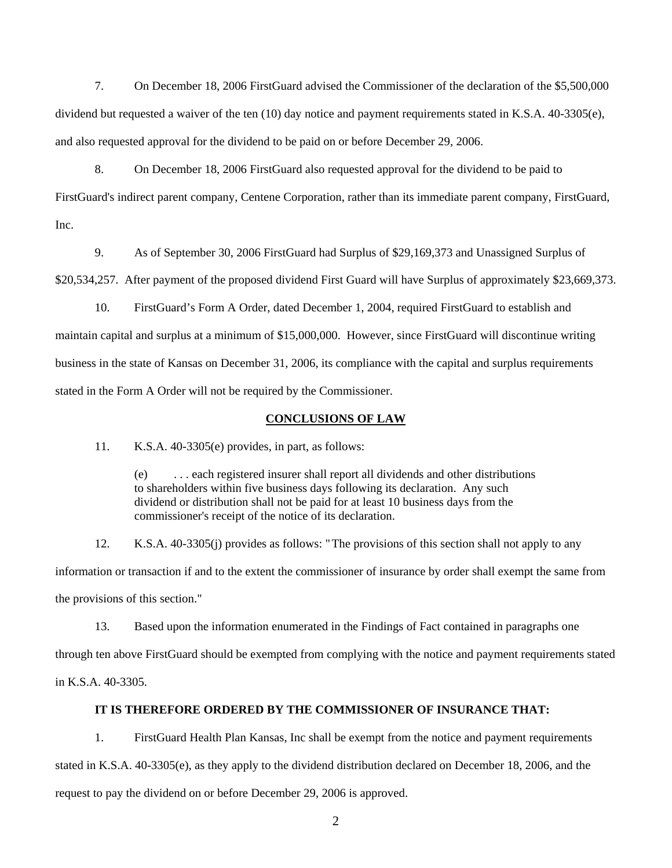7. On December 18, 2006 FirstGuard advised the Commissioner of the declaration of the \$5,500,000 dividend but requested a waiver of the ten (10) day notice and payment requirements stated in K.S.A. 40-3305(e), and also requested approval for the dividend to be paid on or before December 29, 2006.

8. On December 18, 2006 FirstGuard also requested approval for the dividend to be paid to

FirstGuard's indirect parent company, Centene Corporation, rather than its immediate parent company, FirstGuard, Inc.

9. As of September 30, 2006 FirstGuard had Surplus of \$29,169,373 and Unassigned Surplus of

\$20,534,257. After payment of the proposed dividend First Guard will have Surplus of approximately \$23,669,373.

10. FirstGuard's Form A Order, dated December 1, 2004, required FirstGuard to establish and maintain capital and surplus at a minimum of \$15,000,000. However, since FirstGuard will discontinue writing business in the state of Kansas on December 31, 2006, its compliance with the capital and surplus requirements stated in the Form A Order will not be required by the Commissioner.

#### **CONCLUSIONS OF LAW**

11. K.S.A. 40-3305(e) provides, in part, as follows:

(e) . . . each registered insurer shall report all dividends and other distributions to shareholders within five business days following its declaration. Any such dividend or distribution shall not be paid for at least 10 business days from the commissioner's receipt of the notice of its declaration.

 12. K.S.A. 40-3305(j) provides as follows: " The provisions of this section shall not apply to any information or transaction if and to the extent the commissioner of insurance by order shall exempt the same from the provisions of this section."

 13. Based upon the information enumerated in the Findings of Fact contained in paragraphs one through ten above FirstGuard should be exempted from complying with the notice and payment requirements stated in K.S.A. 40-3305.

### **IT IS THEREFORE ORDERED BY THE COMMISSIONER OF INSURANCE THAT:**

 1. FirstGuard Health Plan Kansas, Inc shall be exempt from the notice and payment requirements stated in K.S.A. 40-3305(e), as they apply to the dividend distribution declared on December 18, 2006, and the request to pay the dividend on or before December 29, 2006 is approved.